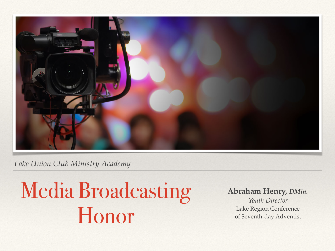

#### *Lake Union Club Ministry Academy*

# Media Broadcasting Honor

#### **Abraham Henry,** *DMin.*

*Youth Director* Lake Region Conference of Seventh-day Adventist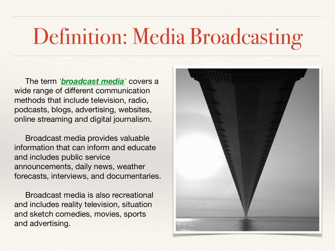## Definition: Media Broadcasting

 The term *'broadcast media'* covers a wide range of different communication methods that include television, radio, podcasts, blogs, advertising, websites, online streaming and digital journalism.

 Broadcast media provides valuable information that can inform and educate and includes public service announcements, daily news, weather forecasts, interviews, and documentaries.

 Broadcast media is also recreational and includes reality television, situation and sketch comedies, movies, sports and advertising.

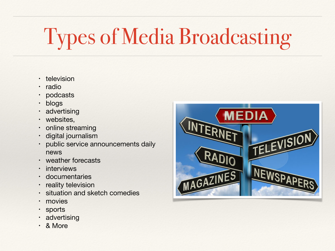# Types of Media Broadcasting

- television
- radio
- podcasts
- blogs
- advertising
- websites,
- online streaming
- digital journalism
- public service announcements daily news
- weather forecasts
- **interviews**
- **documentaries**
- reality television
- situation and sketch comedies
- movies
- sports
- advertising
- & More

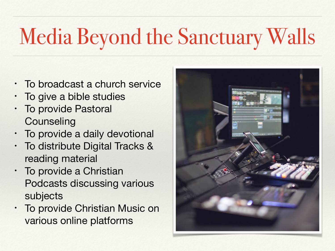# Media Beyond the Sanctuary Walls

- To broadcast a church service
- To give a bible studies
- To provide Pastoral **Counseling**
- To provide a daily devotional
- To distribute Digital Tracks & reading material
- To provide a Christian Podcasts discussing various subjects
- To provide Christian Music on various online platforms

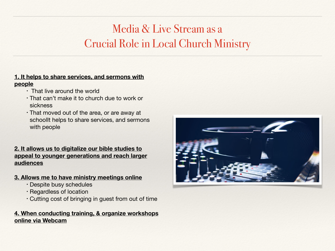## Media & Live Stream as a Crucial Role in Local Church Ministry

#### **1. It helps to share services, and sermons with**

#### **people**

- That live around the world
- That can't make it to church due to work or sickness
- That moved out of the area, or are away at schoolIt helps to share services, and sermons with people

#### **2. It allows us to digitalize our bible studies to appeal to younger generations and reach larger audiences**

#### **3. Allows me to have ministry meetings online**

- Despite busy schedules
- Regardless of location
- Cutting cost of bringing in guest from out of time

#### **4. When conducting training, & organize workshops online via Webcam**

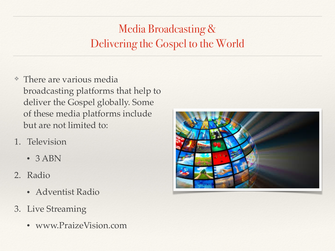## Media Broadcasting & Delivering the Gospel to the World

- ❖ There are various media broadcasting platforms that help to deliver the Gospel globally. Some of these media platforms include but are not limited to:
- 1. Television
	- 3 ABN
- 2. Radio
	- Adventist Radio
- 3. Live Streaming
	- www.PraizeVision.com

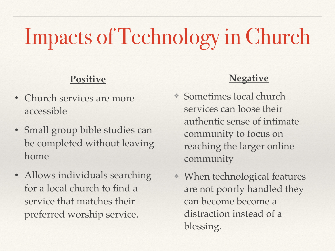# Impacts of Technology in Church

### **Positive**

- Church services are more accessible
- Small group bible studies can be completed without leaving home
- Allows individuals searching for a local church to find a service that matches their preferred worship service.

### **Negative**

- ❖ Sometimes local church services can loose their authentic sense of intimate community to focus on reaching the larger online community
- ❖ When technological features are not poorly handled they can become become a distraction instead of a blessing.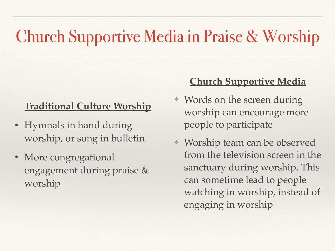## Church Supportive Media in Praise & Worship

## **Traditional Culture Worship**

- Hymnals in hand during worship, or song in bulletin
- More congregational engagement during praise & worship

### **Church Supportive Media**

- ❖ Words on the screen during worship can encourage more people to participate
- ❖ Worship team can be observed from the television screen in the sanctuary during worship. This can sometime lead to people watching in worship, instead of engaging in worship